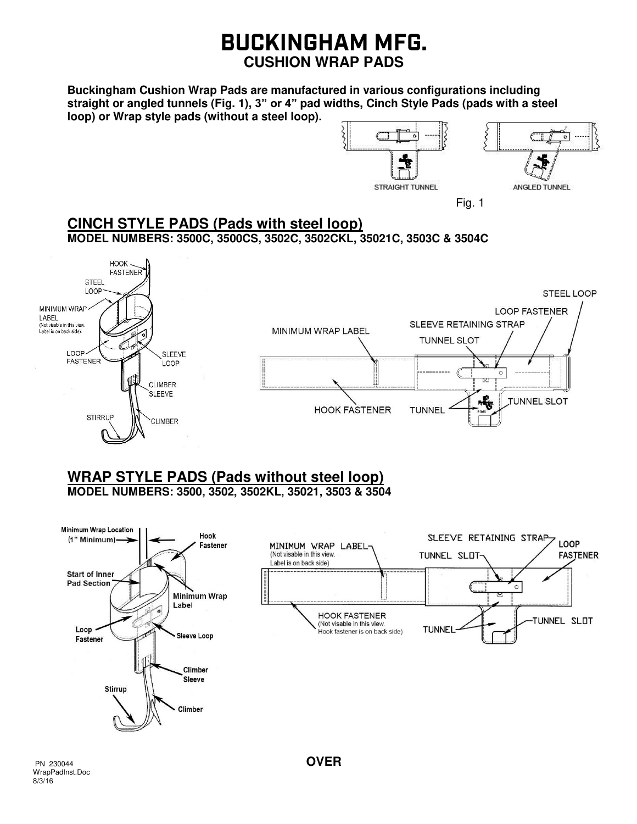## **BUCKINGHAM MFG. CUSHION WRAP PADS**

**Buckingham Cushion Wrap Pads are manufactured in various configurations including straight or angled tunnels (Fig. 1), 3" or 4" pad widths, Cinch Style Pads (pads with a steel loop) or Wrap style pads (without a steel loop).**



**CINCH STYLE PADS (Pads with steel loop) MODEL NUMBERS: 3500C, 3500CS, 3502C, 3502CKL, 35021C, 3503C & 3504C** 



# **WRAP STYLE PADS (Pads without steel loop)**

**MODEL NUMBERS: 3500, 3502, 3502KL, 35021, 3503 & 3504**

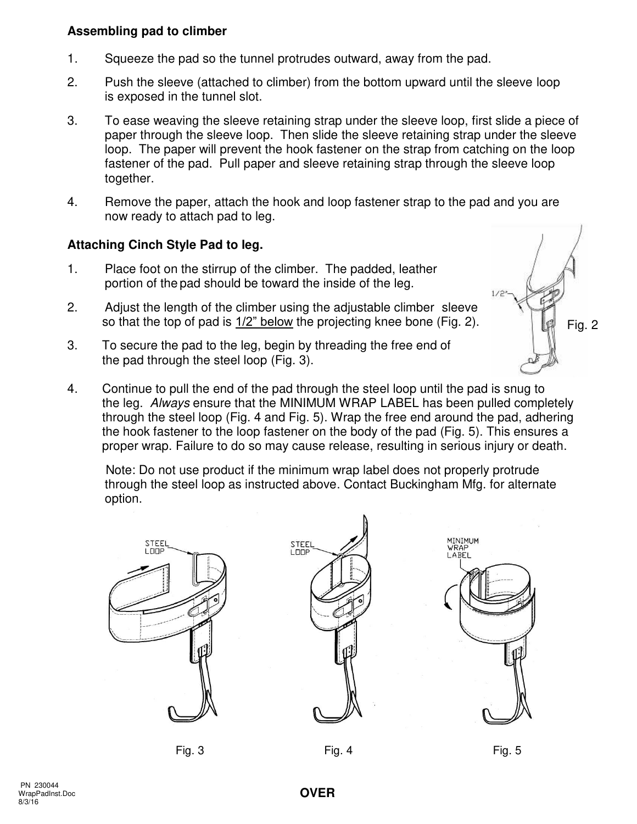#### **Assembling pad to climber**

- 1. Squeeze the pad so the tunnel protrudes outward, away from the pad.
- 2. Push the sleeve (attached to climber) from the bottom upward until the sleeve loop is exposed in the tunnel slot.
- 3. To ease weaving the sleeve retaining strap under the sleeve loop, first slide a piece of paper through the sleeve loop. Then slide the sleeve retaining strap under the sleeve loop. The paper will prevent the hook fastener on the strap from catching on the loop fastener of the pad. Pull paper and sleeve retaining strap through the sleeve loop together.
- 4. Remove the paper, attach the hook and loop fastener strap to the pad and you are now ready to attach pad to leg.

### **Attaching Cinch Style Pad to leg.**

- 1. Place foot on the stirrup of the climber. The padded, leather portion of the pad should be toward the inside of the leg.
- 2. Adjust the length of the climber using the adjustable climber sleeve so that the top of pad is 1/2" below the projecting knee bone (Fig. 2).
- 3. To secure the pad to the leg, begin by threading the free end of the pad through the steel loop (Fig. 3).
- 4. Continue to pull the end of the pad through the steel loop until the pad is snug to the leg. Always ensure that the MINIMUM WRAP LABEL has been pulled completely through the steel loop (Fig. 4 and Fig. 5). Wrap the free end around the pad, adhering the hook fastener to the loop fastener on the body of the pad (Fig. 5). This ensures a proper wrap. Failure to do so may cause release, resulting in serious injury or death.

 Note: Do not use product if the minimum wrap label does not properly protrude through the steel loop as instructed above. Contact Buckingham Mfg. for alternate option.





Fig. 2